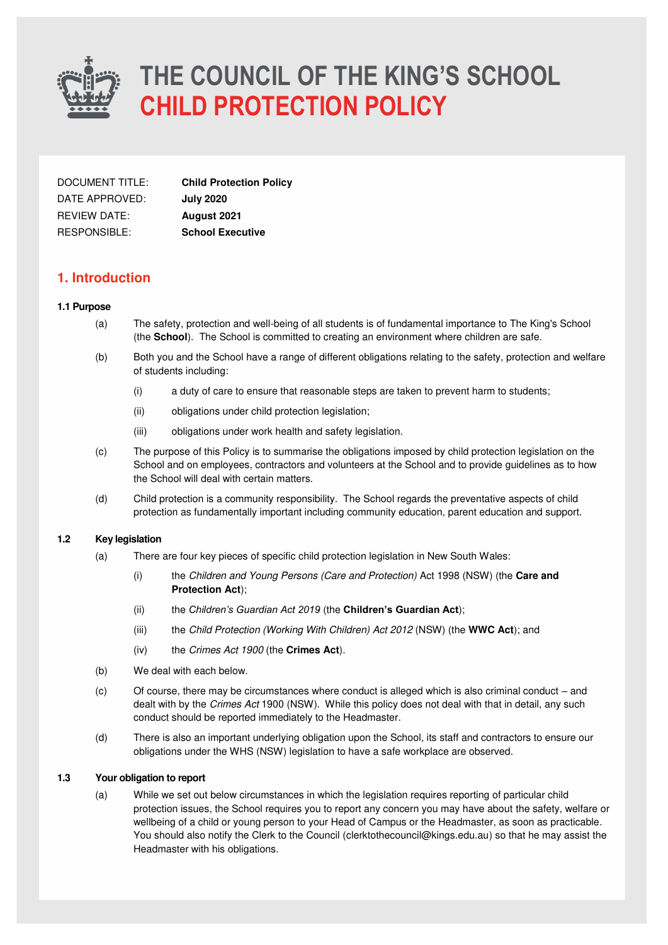

| DOCUMENT TITLE:     | <b>Child Protection Policy</b> |
|---------------------|--------------------------------|
| DATE APPROVED:      | <b>July 2020</b>               |
| <b>REVIEW DATE:</b> | <b>August 2021</b>             |
| RESPONSIBLE:        | <b>School Executive</b>        |

### **1. Introduction**

#### **1.1 Purpose**

- (a) The safety, protection and well-being of all students is of fundamental importance to The King's School (the **School**). The School is committed to creating an environment where children are safe.
- (b) Both you and the School have a range of different obligations relating to the safety, protection and welfare of students including:
	- (i) a duty of care to ensure that reasonable steps are taken to prevent harm to students;
	- (ii) obligations under child protection legislation;
	- (iii) obligations under work health and safety legislation.
- (c) The purpose of this Policy is to summarise the obligations imposed by child protection legislation on the School and on employees, contractors and volunteers at the School and to provide guidelines as to how the School will deal with certain matters.
- (d) Child protection is a community responsibility. The School regards the preventative aspects of child protection as fundamentally important including community education, parent education and support.

#### **1.2 Key legislation**

- (a) There are four key pieces of specific child protection legislation in New South Wales:
	- (i) the Children and Young Persons (Care and Protection) Act 1998 (NSW) (the **Care and Protection Act**);
	- (ii) the *Children's Guardian Act 2019* (the **Children's Guardian Act**);
	- (iii) the Child Protection (Working With Children) Act 2012 (NSW) (the **WWC Act**); and
	- (iv) the Crimes Act 1900 (the **Crimes Act**).
- (b) We deal with each below.
- (c) Of course, there may be circumstances where conduct is alleged which is also criminal conduct and dealt with by the Crimes Act 1900 (NSW). While this policy does not deal with that in detail, any such conduct should be reported immediately to the Headmaster.
- (d) There is also an important underlying obligation upon the School, its staff and contractors to ensure our obligations under the WHS (NSW) legislation to have a safe workplace are observed.

#### **1.3 Your obligation to report**

(a) While we set out below circumstances in which the legislation requires reporting of particular child protection issues, the School requires you to report any concern you may have about the safety, welfare or wellbeing of a child or young person to your Head of Campus or the Headmaster, as soon as practicable. You should also notify the Clerk to the Council (clerktothecouncil@kings.edu.au) so that he may assist the Headmaster with his obligations.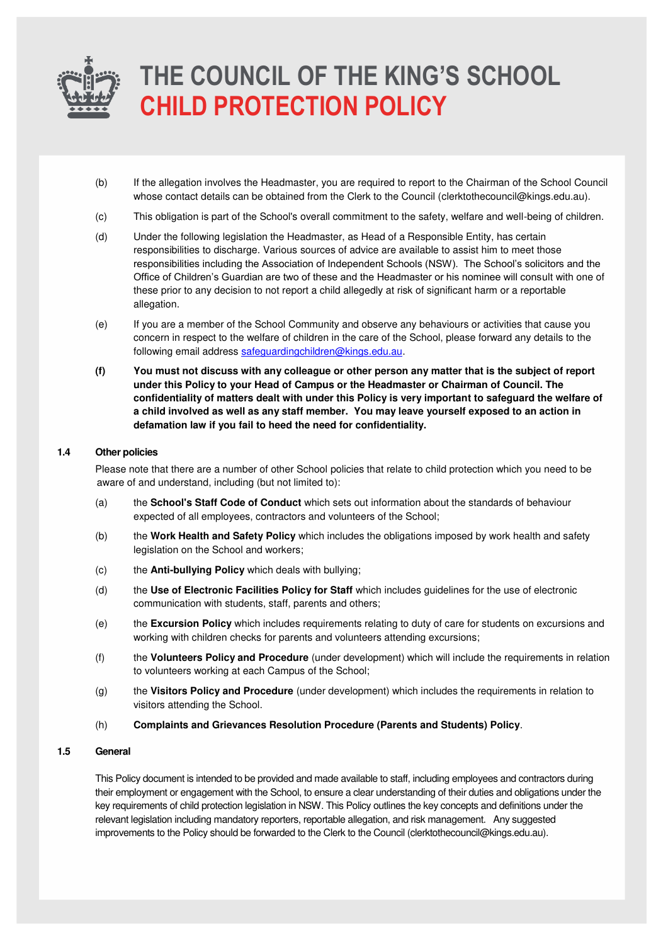

- (b) If the allegation involves the Headmaster, you are required to report to the Chairman of the School Council whose contact details can be obtained from the Clerk to the Council (clerktothecouncil@kings.edu.au).
- (c) This obligation is part of the School's overall commitment to the safety, welfare and well-being of children.
- (d) Under the following legislation the Headmaster, as Head of a Responsible Entity, has certain responsibilities to discharge. Various sources of advice are available to assist him to meet those responsibilities including the Association of Independent Schools (NSW). The School's solicitors and the Office of Children's Guardian are two of these and the Headmaster or his nominee will consult with one of these prior to any decision to not report a child allegedly at risk of significant harm or a reportable allegation.
- (e) If you are a member of the School Community and observe any behaviours or activities that cause you concern in respect to the welfare of children in the care of the School, please forward any details to the following email address [safeguardingchildren@kings.edu.au.](mailto:safeguardingchildren@kings.edu.au)
- **(f) You must not discuss with any colleague or other person any matter that is the subject of report under this Policy to your Head of Campus or the Headmaster or Chairman of Council. The confidentiality of matters dealt with under this Policy is very important to safeguard the welfare of a child involved as well as any staff member. You may leave yourself exposed to an action in defamation law if you fail to heed the need for confidentiality.**

#### **1.4 Other policies**

Please note that there are a number of other School policies that relate to child protection which you need to be aware of and understand, including (but not limited to):

- (a) the **School's Staff Code of Conduct** which sets out information about the standards of behaviour expected of all employees, contractors and volunteers of the School;
- (b) the **Work Health and Safety Policy** which includes the obligations imposed by work health and safety legislation on the School and workers;
- (c) the **Anti-bullying Policy** which deals with bullying;
- (d) the **Use of Electronic Facilities Policy for Staff** which includes guidelines for the use of electronic communication with students, staff, parents and others;
- (e) the **Excursion Policy** which includes requirements relating to duty of care for students on excursions and working with children checks for parents and volunteers attending excursions;
- (f) the **Volunteers Policy and Procedure** (under development) which will include the requirements in relation to volunteers working at each Campus of the School;
- (g) the **Visitors Policy and Procedure** (under development) which includes the requirements in relation to visitors attending the School.
- (h) **Complaints and Grievances Resolution Procedure (Parents and Students) Policy**.

#### **1.5 General**

This Policy document is intended to be provided and made available to staff, including employees and contractors during their employment or engagement with the School, to ensure a clear understanding of their duties and obligations under the key requirements of child protection legislation in NSW. This Policy outlines the key concepts and definitions under the relevant legislation including mandatory reporters, reportable allegation, and risk management. Any suggested improvements to the Policy should be forwarded to the Clerk to the Council (clerktothecouncil@kings.edu.au).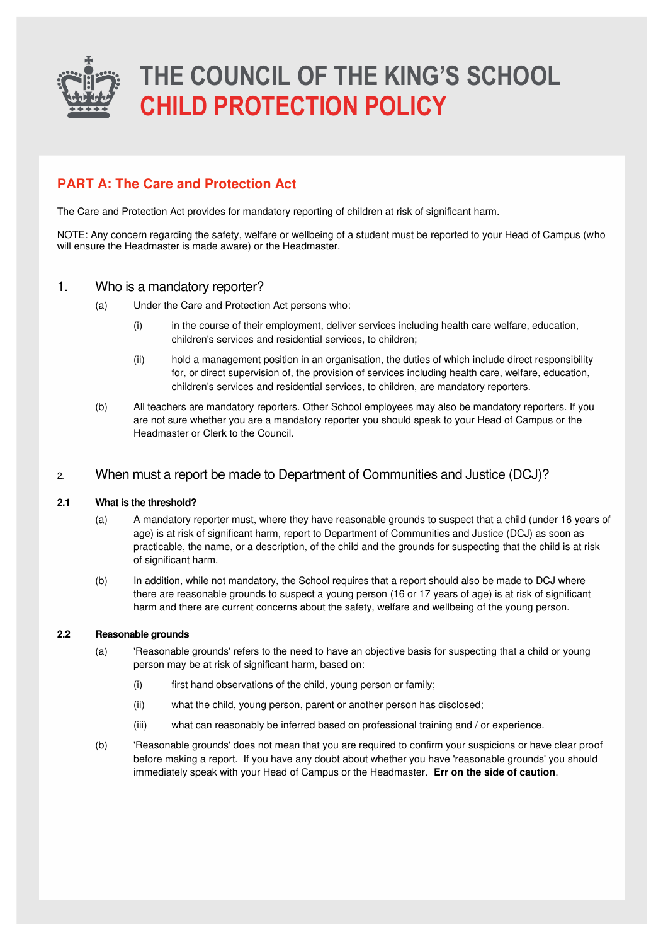

### **PART A: The Care and Protection Act**

The Care and Protection Act provides for mandatory reporting of children at risk of significant harm.

NOTE: Any concern regarding the safety, welfare or wellbeing of a student must be reported to your Head of Campus (who will ensure the Headmaster is made aware) or the Headmaster.

### 1. Who is a mandatory reporter?

- (a) Under the Care and Protection Act persons who:
	- (i) in the course of their employment, deliver services including health care welfare, education, children's services and residential services, to children;
	- (ii) hold a management position in an organisation, the duties of which include direct responsibility for, or direct supervision of, the provision of services including health care, welfare, education, children's services and residential services, to children, are mandatory reporters.
- (b) All teachers are mandatory reporters. Other School employees may also be mandatory reporters. If you are not sure whether you are a mandatory reporter you should speak to your Head of Campus or the Headmaster or Clerk to the Council.

### 2. When must a report be made to Department of Communities and Justice (DCJ)?

#### **2.1 What is the threshold?**

- (a) A mandatory reporter must, where they have reasonable grounds to suspect that a child (under 16 years of age) is at risk of significant harm, report to Department of Communities and Justice (DCJ) as soon as practicable, the name, or a description, of the child and the grounds for suspecting that the child is at risk of significant harm.
- (b) In addition, while not mandatory, the School requires that a report should also be made to DCJ where there are reasonable grounds to suspect a young person (16 or 17 years of age) is at risk of significant harm and there are current concerns about the safety, welfare and wellbeing of the young person.

#### **2.2 Reasonable grounds**

- (a) 'Reasonable grounds' refers to the need to have an objective basis for suspecting that a child or young person may be at risk of significant harm, based on:
	- (i) first hand observations of the child, young person or family;
	- (ii) what the child, young person, parent or another person has disclosed;
	- (iii) what can reasonably be inferred based on professional training and / or experience.
- (b) 'Reasonable grounds' does not mean that you are required to confirm your suspicions or have clear proof before making a report. If you have any doubt about whether you have 'reasonable grounds' you should immediately speak with your Head of Campus or the Headmaster. **Err on the side of caution**.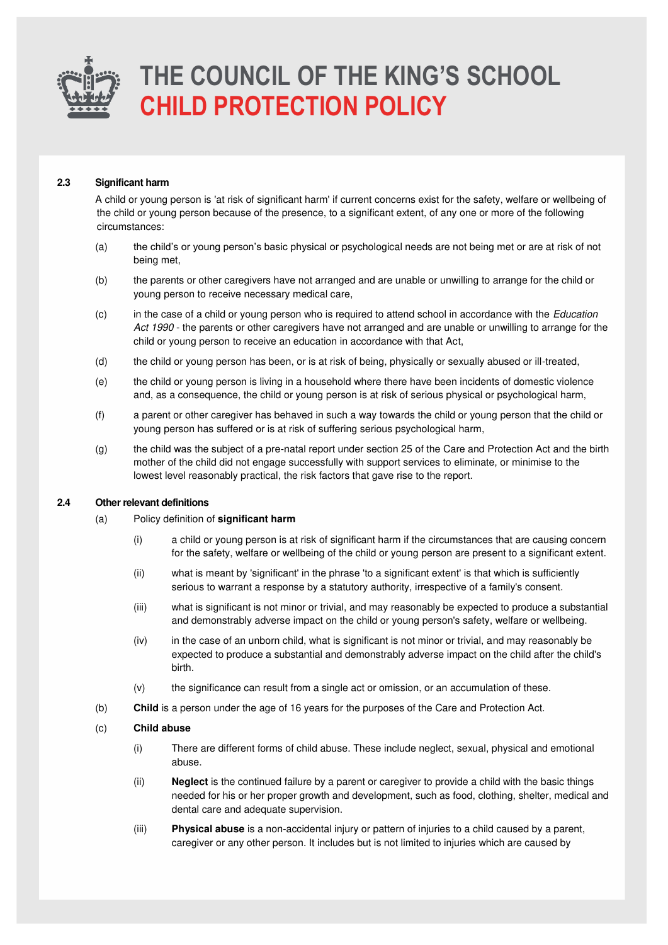

#### **2.3 Significant harm**

A child or young person is 'at risk of significant harm' if current concerns exist for the safety, welfare or wellbeing of the child or young person because of the presence, to a significant extent, of any one or more of the following circumstances:

- (a) the child's or young person's basic physical or psychological needs are not being met or are at risk of not being met,
- (b) the parents or other caregivers have not arranged and are unable or unwilling to arrange for the child or young person to receive necessary medical care,
- (c) in the case of a child or young person who is required to attend school in accordance with the Education Act 1990 - the parents or other caregivers have not arranged and are unable or unwilling to arrange for the child or young person to receive an education in accordance with that Act,
- (d) the child or young person has been, or is at risk of being, physically or sexually abused or ill-treated,
- (e) the child or young person is living in a household where there have been incidents of domestic violence and, as a consequence, the child or young person is at risk of serious physical or psychological harm,
- (f) a parent or other caregiver has behaved in such a way towards the child or young person that the child or young person has suffered or is at risk of suffering serious psychological harm,
- (g) the child was the subject of a pre-natal report under section 25 of the Care and Protection Act and the birth mother of the child did not engage successfully with support services to eliminate, or minimise to the lowest level reasonably practical, the risk factors that gave rise to the report.

#### **2.4 Other relevant definitions**

- (a) Policy definition of **significant harm**
	- (i) a child or young person is at risk of significant harm if the circumstances that are causing concern for the safety, welfare or wellbeing of the child or young person are present to a significant extent.
	- (ii) what is meant by 'significant' in the phrase 'to a significant extent' is that which is sufficiently serious to warrant a response by a statutory authority, irrespective of a family's consent.
	- (iii) what is significant is not minor or trivial, and may reasonably be expected to produce a substantial and demonstrably adverse impact on the child or young person's safety, welfare or wellbeing.
	- (iv) in the case of an unborn child, what is significant is not minor or trivial, and may reasonably be expected to produce a substantial and demonstrably adverse impact on the child after the child's birth.
	- (v) the significance can result from a single act or omission, or an accumulation of these.
- (b) **Child** is a person under the age of 16 years for the purposes of the Care and Protection Act.

#### (c) **Child abuse**

- (i) There are different forms of child abuse. These include neglect, sexual, physical and emotional abuse.
- (ii) **Neglect** is the continued failure by a parent or caregiver to provide a child with the basic things needed for his or her proper growth and development, such as food, clothing, shelter, medical and dental care and adequate supervision.
- (iii) **Physical abuse** is a non-accidental injury or pattern of injuries to a child caused by a parent, caregiver or any other person. It includes but is not limited to injuries which are caused by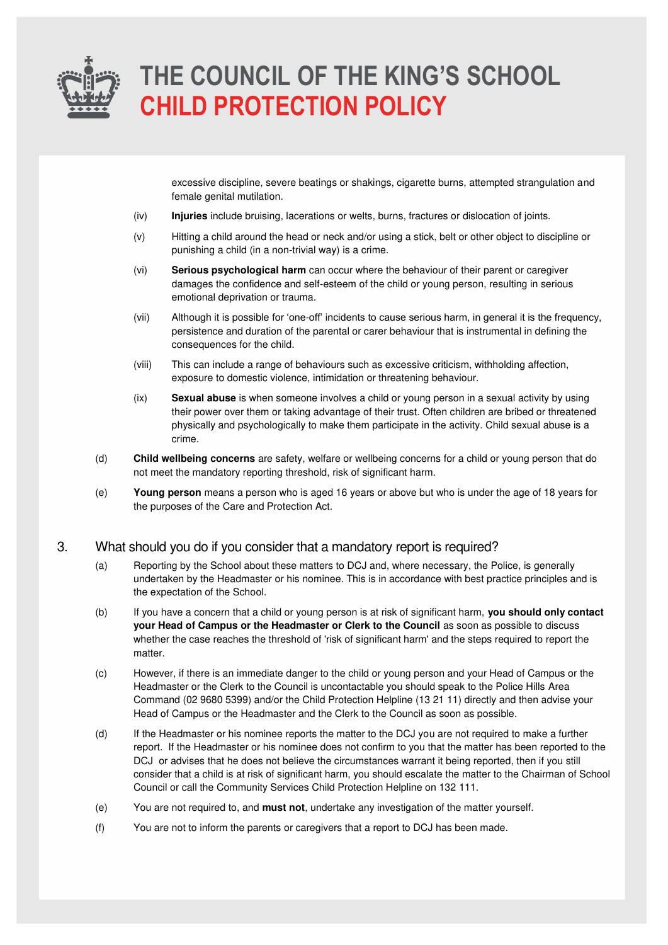

excessive discipline, severe beatings or shakings, cigarette burns, attempted strangulation and female genital mutilation.

- (iv) **Injuries** include bruising, lacerations or welts, burns, fractures or dislocation of joints.
- (v) Hitting a child around the head or neck and/or using a stick, belt or other object to discipline or punishing a child (in a non-trivial way) is a crime.
- (vi) **Serious psychological harm** can occur where the behaviour of their parent or caregiver damages the confidence and self-esteem of the child or young person, resulting in serious emotional deprivation or trauma.
- (vii) Although it is possible for 'one-off' incidents to cause serious harm, in general it is the frequency, persistence and duration of the parental or carer behaviour that is instrumental in defining the consequences for the child.
- (viii) This can include a range of behaviours such as excessive criticism, withholding affection, exposure to domestic violence, intimidation or threatening behaviour.
- (ix) **Sexual abuse** is when someone involves a child or young person in a sexual activity by using their power over them or taking advantage of their trust. Often children are bribed or threatened physically and psychologically to make them participate in the activity. Child sexual abuse is a crime.
- (d) **Child wellbeing concerns** are safety, welfare or wellbeing concerns for a child or young person that do not meet the mandatory reporting threshold, risk of significant harm.
- (e) **Young person** means a person who is aged 16 years or above but who is under the age of 18 years for the purposes of the Care and Protection Act.

### 3. What should you do if you consider that a mandatory report is required?

- (a) Reporting by the School about these matters to DCJ and, where necessary, the Police, is generally undertaken by the Headmaster or his nominee. This is in accordance with best practice principles and is the expectation of the School.
- (b) If you have a concern that a child or young person is at risk of significant harm, **you should only contact your Head of Campus or the Headmaster or Clerk to the Council** as soon as possible to discuss whether the case reaches the threshold of 'risk of significant harm' and the steps required to report the matter.
- (c) However, if there is an immediate danger to the child or young person and your Head of Campus or the Headmaster or the Clerk to the Council is uncontactable you should speak to the Police Hills Area Command (02 9680 5399) and/or the Child Protection Helpline (13 21 11) directly and then advise your Head of Campus or the Headmaster and the Clerk to the Council as soon as possible.
- (d) If the Headmaster or his nominee reports the matter to the DCJ you are not required to make a further report. If the Headmaster or his nominee does not confirm to you that the matter has been reported to the DCJ or advises that he does not believe the circumstances warrant it being reported, then if you still consider that a child is at risk of significant harm, you should escalate the matter to the Chairman of School Council or call the Community Services Child Protection Helpline on 132 111.
- (e) You are not required to, and **must not**, undertake any investigation of the matter yourself.
- (f) You are not to inform the parents or caregivers that a report to DCJ has been made.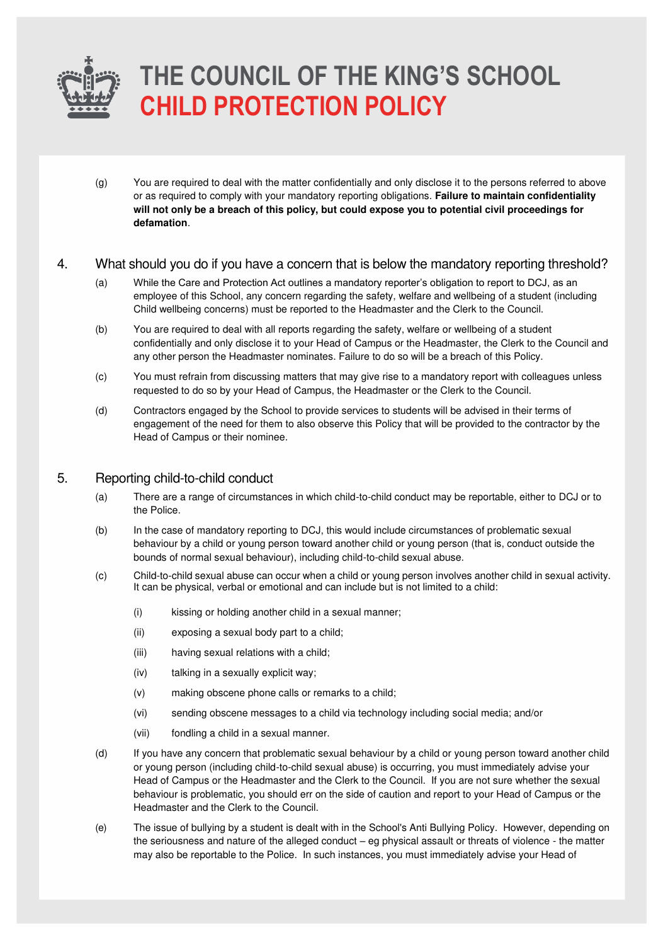

(g) You are required to deal with the matter confidentially and only disclose it to the persons referred to above or as required to comply with your mandatory reporting obligations. **Failure to maintain confidentiality will not only be a breach of this policy, but could expose you to potential civil proceedings for defamation**.

### 4. What should you do if you have a concern that is below the mandatory reporting threshold?

- (a) While the Care and Protection Act outlines a mandatory reporter's obligation to report to DCJ, as an employee of this School, any concern regarding the safety, welfare and wellbeing of a student (including Child wellbeing concerns) must be reported to the Headmaster and the Clerk to the Council.
- (b) You are required to deal with all reports regarding the safety, welfare or wellbeing of a student confidentially and only disclose it to your Head of Campus or the Headmaster, the Clerk to the Council and any other person the Headmaster nominates. Failure to do so will be a breach of this Policy.
- (c) You must refrain from discussing matters that may give rise to a mandatory report with colleagues unless requested to do so by your Head of Campus, the Headmaster or the Clerk to the Council.
- (d) Contractors engaged by the School to provide services to students will be advised in their terms of engagement of the need for them to also observe this Policy that will be provided to the contractor by the Head of Campus or their nominee.

### 5. Reporting child-to-child conduct

- (a) There are a range of circumstances in which child-to-child conduct may be reportable, either to DCJ or to the Police.
- (b) In the case of mandatory reporting to DCJ, this would include circumstances of problematic sexual behaviour by a child or young person toward another child or young person (that is, conduct outside the bounds of normal sexual behaviour), including child-to-child sexual abuse.
- (c) Child-to-child sexual abuse can occur when a child or young person involves another child in sexual activity. It can be physical, verbal or emotional and can include but is not limited to a child:
	- (i) kissing or holding another child in a sexual manner;
	- (ii) exposing a sexual body part to a child;
	- (iii) having sexual relations with a child;
	- (iv) talking in a sexually explicit way;
	- (v) making obscene phone calls or remarks to a child;
	- (vi) sending obscene messages to a child via technology including social media; and/or
	- (vii) fondling a child in a sexual manner.
- (d) If you have any concern that problematic sexual behaviour by a child or young person toward another child or young person (including child-to-child sexual abuse) is occurring, you must immediately advise your Head of Campus or the Headmaster and the Clerk to the Council. If you are not sure whether the sexual behaviour is problematic, you should err on the side of caution and report to your Head of Campus or the Headmaster and the Clerk to the Council.
- (e) The issue of bullying by a student is dealt with in the School's Anti Bullying Policy. However, depending on the seriousness and nature of the alleged conduct – eg physical assault or threats of violence - the matter may also be reportable to the Police. In such instances, you must immediately advise your Head of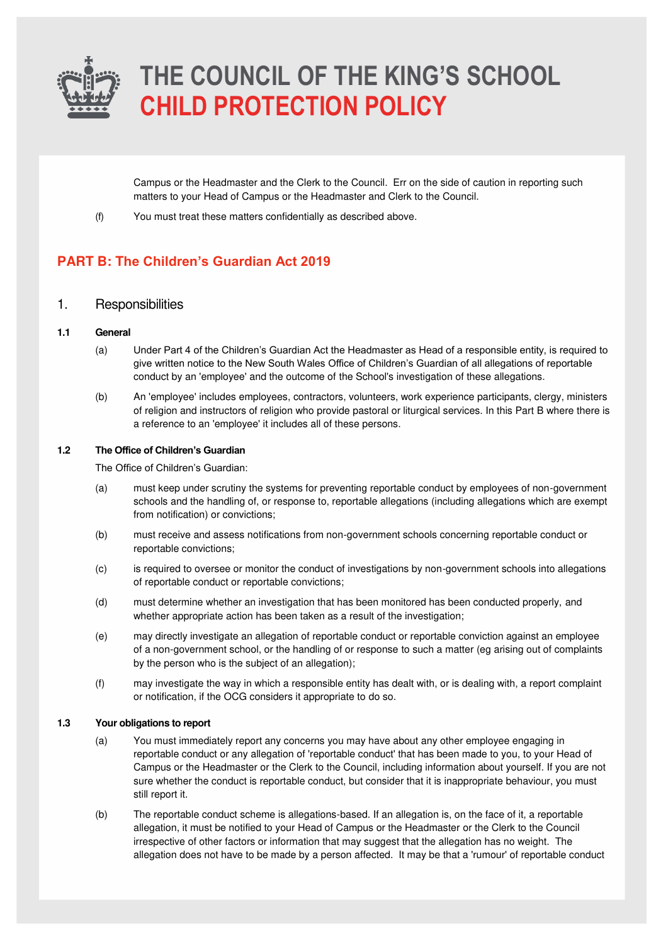

Campus or the Headmaster and the Clerk to the Council. Err on the side of caution in reporting such matters to your Head of Campus or the Headmaster and Clerk to the Council.

(f) You must treat these matters confidentially as described above.

### **PART B: The Children's Guardian Act 2019**

### 1. Responsibilities

#### **1.1 General**

- (a) Under Part 4 of the Children's Guardian Act the Headmaster as Head of a responsible entity, is required to give written notice to the New South Wales Office of Children's Guardian of all allegations of reportable conduct by an 'employee' and the outcome of the School's investigation of these allegations.
- (b) An 'employee' includes employees, contractors, volunteers, work experience participants, clergy, ministers of religion and instructors of religion who provide pastoral or liturgical services. In this Part B where there is a reference to an 'employee' it includes all of these persons.

#### **1.2 The Office of Children's Guardian**

The Office of Children's Guardian:

- (a) must keep under scrutiny the systems for preventing reportable conduct by employees of non-government schools and the handling of, or response to, reportable allegations (including allegations which are exempt from notification) or convictions;
- (b) must receive and assess notifications from non-government schools concerning reportable conduct or reportable convictions;
- (c) is required to oversee or monitor the conduct of investigations by non-government schools into allegations of reportable conduct or reportable convictions;
- (d) must determine whether an investigation that has been monitored has been conducted properly, and whether appropriate action has been taken as a result of the investigation;
- (e) may directly investigate an allegation of reportable conduct or reportable conviction against an employee of a non-government school, or the handling of or response to such a matter (eg arising out of complaints by the person who is the subject of an allegation);
- (f) may investigate the way in which a responsible entity has dealt with, or is dealing with, a report complaint or notification, if the OCG considers it appropriate to do so.

#### **1.3 Your obligations to report**

- (a) You must immediately report any concerns you may have about any other employee engaging in reportable conduct or any allegation of 'reportable conduct' that has been made to you, to your Head of Campus or the Headmaster or the Clerk to the Council, including information about yourself. If you are not sure whether the conduct is reportable conduct, but consider that it is inappropriate behaviour, you must still report it.
- (b) The reportable conduct scheme is allegations-based. If an allegation is, on the face of it, a reportable allegation, it must be notified to your Head of Campus or the Headmaster or the Clerk to the Council irrespective of other factors or information that may suggest that the allegation has no weight. The allegation does not have to be made by a person affected. It may be that a 'rumour' of reportable conduct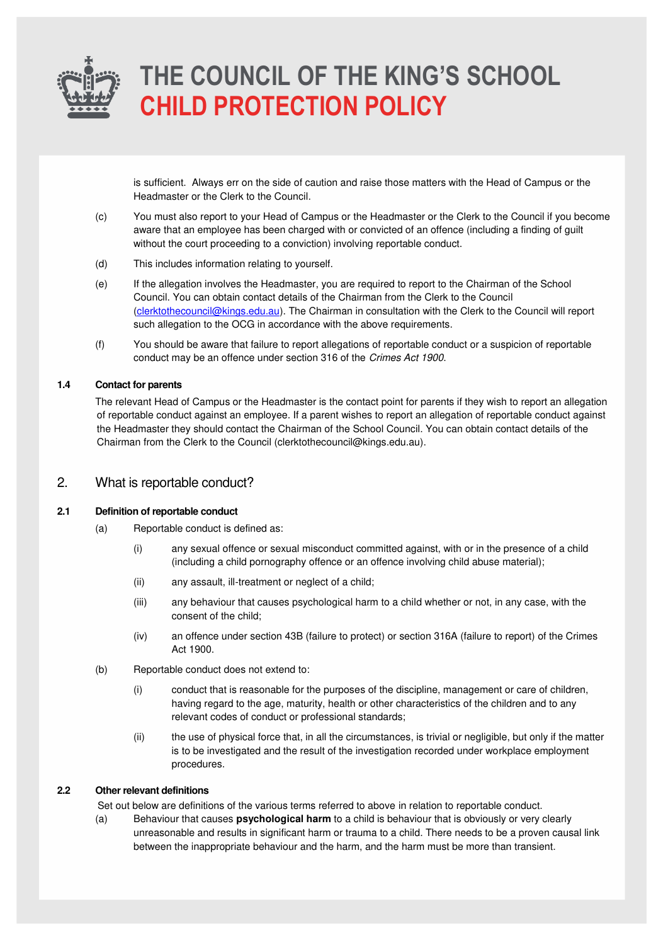

is sufficient. Always err on the side of caution and raise those matters with the Head of Campus or the Headmaster or the Clerk to the Council.

- (c) You must also report to your Head of Campus or the Headmaster or the Clerk to the Council if you become aware that an employee has been charged with or convicted of an offence (including a finding of guilt without the court proceeding to a conviction) involving reportable conduct.
- (d) This includes information relating to yourself.
- (e) If the allegation involves the Headmaster, you are required to report to the Chairman of the School Council. You can obtain contact details of the Chairman from the Clerk to the Council [\(clerktothecouncil@kings.edu.au\)](mailto:clerktothecouncil@kings.edu.au). The Chairman in consultation with the Clerk to the Council will report such allegation to the OCG in accordance with the above requirements.
- (f) You should be aware that failure to report allegations of reportable conduct or a suspicion of reportable conduct may be an offence under section 316 of the Crimes Act 1900.

#### **1.4 Contact for parents**

The relevant Head of Campus or the Headmaster is the contact point for parents if they wish to report an allegation of reportable conduct against an employee. If a parent wishes to report an allegation of reportable conduct against the Headmaster they should contact the Chairman of the School Council. You can obtain contact details of the Chairman from the Clerk to the Council (clerktothecouncil@kings.edu.au).

### 2. What is reportable conduct?

#### **2.1 Definition of reportable conduct**

- (a) Reportable conduct is defined as:
	- (i) any sexual offence or sexual misconduct committed against, with or in the presence of a child (including a child pornography offence or an offence involving child abuse material);
	- (ii) any assault, ill-treatment or neglect of a child;
	- (iii) any behaviour that causes psychological harm to a child whether or not, in any case, with the consent of the child;
	- (iv) an offence under section 43B (failure to protect) or section 316A (failure to report) of the Crimes Act 1900.
- (b) Reportable conduct does not extend to:
	- (i) conduct that is reasonable for the purposes of the discipline, management or care of children, having regard to the age, maturity, health or other characteristics of the children and to any relevant codes of conduct or professional standards;
	- (ii) the use of physical force that, in all the circumstances, is trivial or negligible, but only if the matter is to be investigated and the result of the investigation recorded under workplace employment procedures.

#### **2.2 Other relevant definitions**

Set out below are definitions of the various terms referred to above in relation to reportable conduct.

(a) Behaviour that causes **psychological harm** to a child is behaviour that is obviously or very clearly unreasonable and results in significant harm or trauma to a child. There needs to be a proven causal link between the inappropriate behaviour and the harm, and the harm must be more than transient.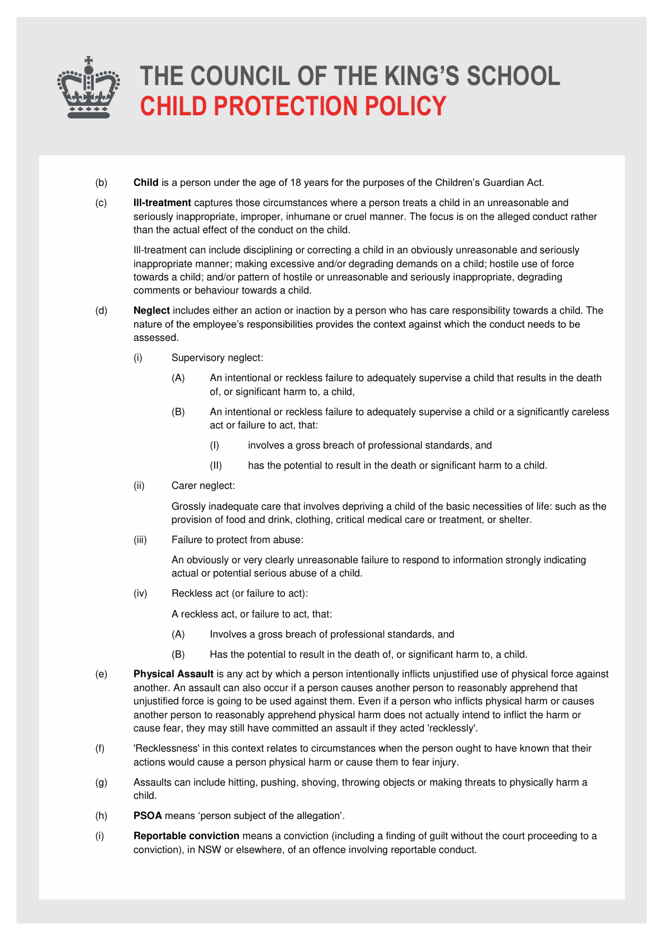

- (b) **Child** is a person under the age of 18 years for the purposes of the Children's Guardian Act.
- (c) **Ill-treatment** captures those circumstances where a person treats a child in an unreasonable and seriously inappropriate, improper, inhumane or cruel manner. The focus is on the alleged conduct rather than the actual effect of the conduct on the child.

Ill-treatment can include disciplining or correcting a child in an obviously unreasonable and seriously inappropriate manner; making excessive and/or degrading demands on a child; hostile use of force towards a child; and/or pattern of hostile or unreasonable and seriously inappropriate, degrading comments or behaviour towards a child.

- (d) **Neglect** includes either an action or inaction by a person who has care responsibility towards a child. The nature of the employee's responsibilities provides the context against which the conduct needs to be assessed.
	- (i) Supervisory neglect:
		- (A) An intentional or reckless failure to adequately supervise a child that results in the death of, or significant harm to, a child,
		- (B) An intentional or reckless failure to adequately supervise a child or a significantly careless act or failure to act, that:
			- (I) involves a gross breach of professional standards, and
			- (II) has the potential to result in the death or significant harm to a child.
	- (ii) Carer neglect:

Grossly inadequate care that involves depriving a child of the basic necessities of life: such as the provision of food and drink, clothing, critical medical care or treatment, or shelter.

(iii) Failure to protect from abuse:

An obviously or very clearly unreasonable failure to respond to information strongly indicating actual or potential serious abuse of a child.

(iv) Reckless act (or failure to act):

A reckless act, or failure to act, that:

- (A) Involves a gross breach of professional standards, and
- (B) Has the potential to result in the death of, or significant harm to, a child.
- (e) **Physical Assault** is any act by which a person intentionally inflicts unjustified use of physical force against another. An assault can also occur if a person causes another person to reasonably apprehend that unjustified force is going to be used against them. Even if a person who inflicts physical harm or causes another person to reasonably apprehend physical harm does not actually intend to inflict the harm or cause fear, they may still have committed an assault if they acted 'recklessly'.
- (f) 'Recklessness' in this context relates to circumstances when the person ought to have known that their actions would cause a person physical harm or cause them to fear injury.
- (g) Assaults can include hitting, pushing, shoving, throwing objects or making threats to physically harm a child.
- (h) **PSOA** means 'person subject of the allegation'.
- (i) **Reportable conviction** means a conviction (including a finding of guilt without the court proceeding to a conviction), in NSW or elsewhere, of an offence involving reportable conduct.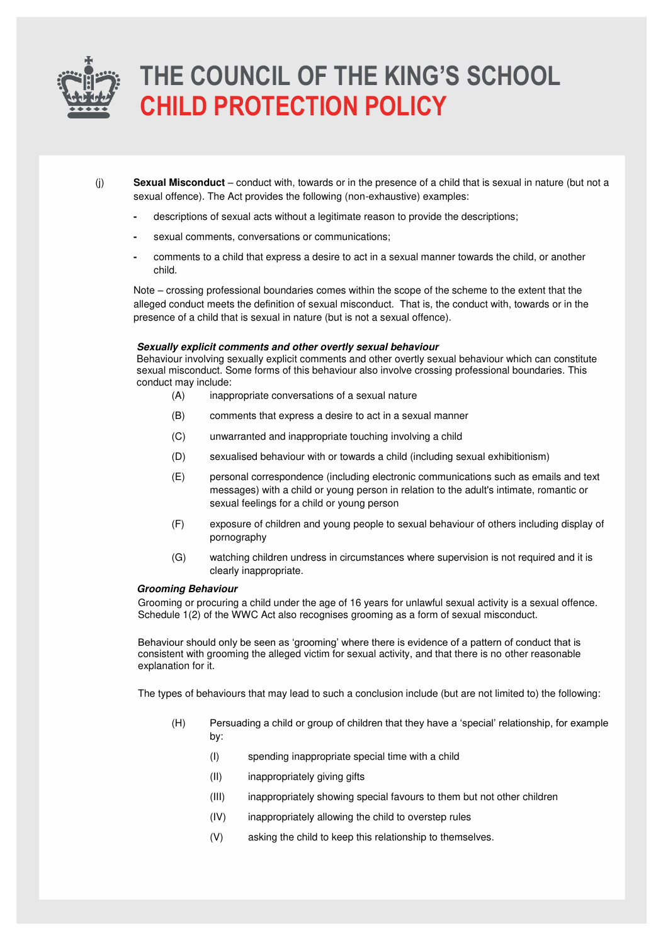

(j) **Sexual Misconduct** – conduct with, towards or in the presence of a child that is sexual in nature (but not a sexual offence). The Act provides the following (non-exhaustive) examples:

- descriptions of sexual acts without a legitimate reason to provide the descriptions;
- sexual comments, conversations or communications;
- comments to a child that express a desire to act in a sexual manner towards the child, or another child.

Note – crossing professional boundaries comes within the scope of the scheme to the extent that the alleged conduct meets the definition of sexual misconduct. That is, the conduct with, towards or in the presence of a child that is sexual in nature (but is not a sexual offence).

#### **Sexually explicit comments and other overtly sexual behaviour**

Behaviour involving sexually explicit comments and other overtly sexual behaviour which can constitute sexual misconduct. Some forms of this behaviour also involve crossing professional boundaries. This conduct may include:

- (A) inappropriate conversations of a sexual nature
- (B) comments that express a desire to act in a sexual manner
- (C) unwarranted and inappropriate touching involving a child
- (D) sexualised behaviour with or towards a child (including sexual exhibitionism)
- (E) personal correspondence (including electronic communications such as emails and text messages) with a child or young person in relation to the adult's intimate, romantic or sexual feelings for a child or young person
- (F) exposure of children and young people to sexual behaviour of others including display of pornography
- (G) watching children undress in circumstances where supervision is not required and it is clearly inappropriate.

#### **Grooming Behaviour**

Grooming or procuring a child under the age of 16 years for unlawful sexual activity is a sexual offence. Schedule 1(2) of the WWC Act also recognises grooming as a form of sexual misconduct.

Behaviour should only be seen as 'grooming' where there is evidence of a pattern of conduct that is consistent with grooming the alleged victim for sexual activity, and that there is no other reasonable explanation for it.

The types of behaviours that may lead to such a conclusion include (but are not limited to) the following:

- (H) Persuading a child or group of children that they have a 'special' relationship, for example by:
	- (I) spending inappropriate special time with a child
	- (II) inappropriately giving gifts
	- (III) inappropriately showing special favours to them but not other children
	- (IV) inappropriately allowing the child to overstep rules
	- (V) asking the child to keep this relationship to themselves.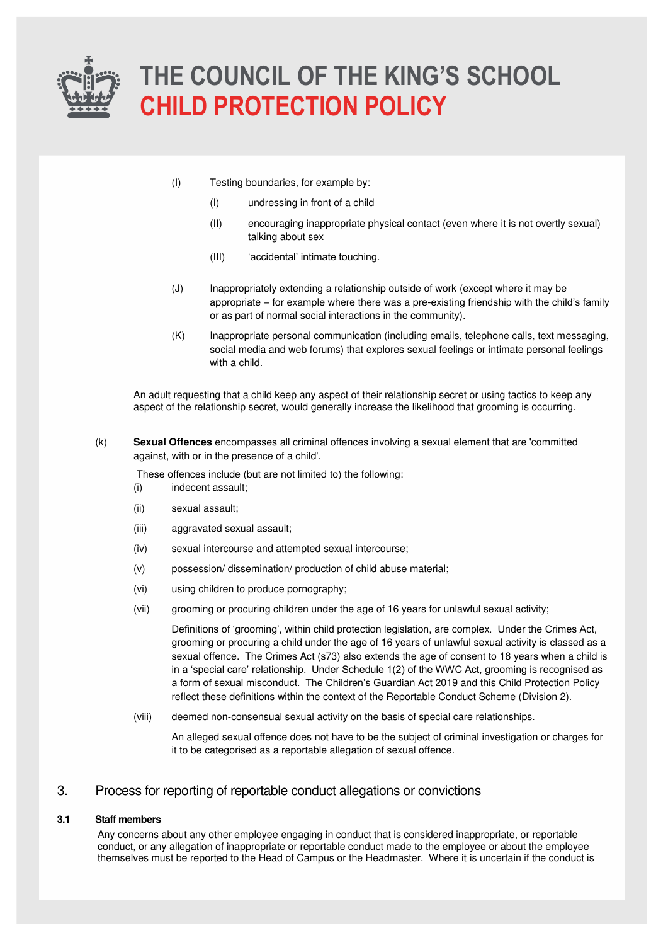

- (I) Testing boundaries, for example by:
	- (I) undressing in front of a child
	- (II) encouraging inappropriate physical contact (even where it is not overtly sexual) talking about sex
	- (III) 'accidental' intimate touching.
- (J) Inappropriately extending a relationship outside of work (except where it may be appropriate – for example where there was a pre-existing friendship with the child's family or as part of normal social interactions in the community).
- (K) Inappropriate personal communication (including emails, telephone calls, text messaging, social media and web forums) that explores sexual feelings or intimate personal feelings with a child.

An adult requesting that a child keep any aspect of their relationship secret or using tactics to keep any aspect of the relationship secret, would generally increase the likelihood that grooming is occurring.

(k) **Sexual Offences** encompasses all criminal offences involving a sexual element that are 'committed against, with or in the presence of a child'.

These offences include (but are not limited to) the following:

- (i) indecent assault; (ii) sexual assault;
- (iii) aggravated sexual assault;
- (iv) sexual intercourse and attempted sexual intercourse;
- (v) possession/ dissemination/ production of child abuse material;
- (vi) using children to produce pornography;
- (vii) grooming or procuring children under the age of 16 years for unlawful sexual activity;

Definitions of 'grooming', within child protection legislation, are complex. Under the Crimes Act, grooming or procuring a child under the age of 16 years of unlawful sexual activity is classed as a sexual offence. The Crimes Act (s73) also extends the age of consent to 18 years when a child is in a 'special care' relationship. Under Schedule 1(2) of the WWC Act, grooming is recognised as a form of sexual misconduct. The Children's Guardian Act 2019 and this Child Protection Policy reflect these definitions within the context of the Reportable Conduct Scheme (Division 2).

(viii) deemed non-consensual sexual activity on the basis of special care relationships.

An alleged sexual offence does not have to be the subject of criminal investigation or charges for it to be categorised as a reportable allegation of sexual offence.

### 3. Process for reporting of reportable conduct allegations or convictions

#### **3.1 Staff members**

Any concerns about any other employee engaging in conduct that is considered inappropriate, or reportable conduct, or any allegation of inappropriate or reportable conduct made to the employee or about the employee themselves must be reported to the Head of Campus or the Headmaster. Where it is uncertain if the conduct is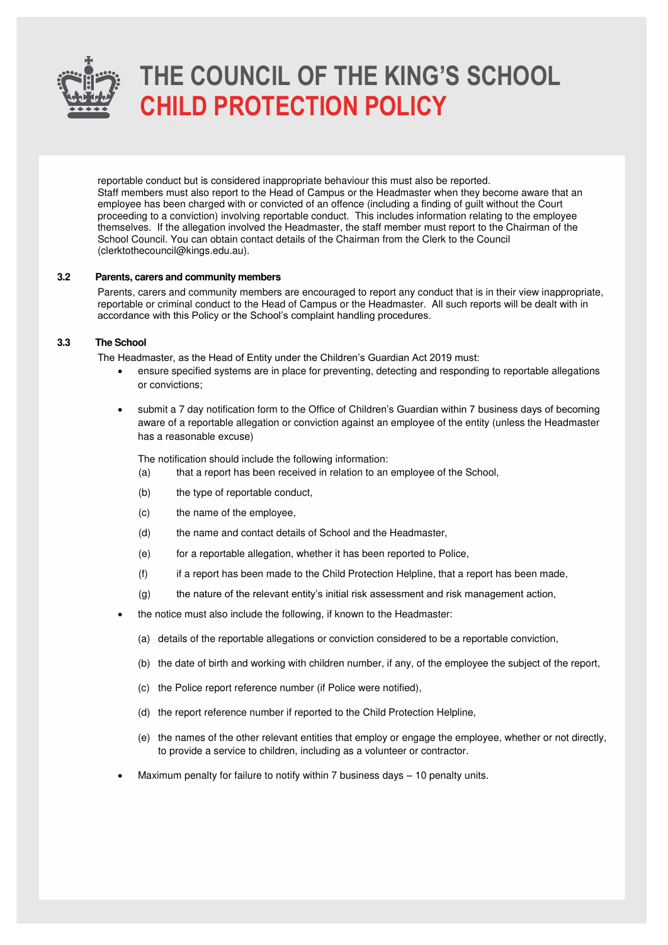

reportable conduct but is considered inappropriate behaviour this must also be reported. Staff members must also report to the Head of Campus or the Headmaster when they become aware that an employee has been charged with or convicted of an offence (including a finding of guilt without the Court proceeding to a conviction) involving reportable conduct. This includes information relating to the employee themselves. If the allegation involved the Headmaster, the staff member must report to the Chairman of the School Council. You can obtain contact details of the Chairman from the Clerk to the Council (clerktothecouncil@kings.edu.au).

#### **3.2 Parents, carers and community members**

Parents, carers and community members are encouraged to report any conduct that is in their view inappropriate, reportable or criminal conduct to the Head of Campus or the Headmaster. All such reports will be dealt with in accordance with this Policy or the School's complaint handling procedures.

#### **3.3 The School**

The Headmaster, as the Head of Entity under the Children's Guardian Act 2019 must:

- ensure specified systems are in place for preventing, detecting and responding to reportable allegations or convictions;
- submit a 7 day notification form to the Office of Children's Guardian within 7 business days of becoming aware of a reportable allegation or conviction against an employee of the entity (unless the Headmaster has a reasonable excuse)

The notification should include the following information:

- (a) that a report has been received in relation to an employee of the School,
- (b) the type of reportable conduct,
- (c) the name of the employee,
- (d) the name and contact details of School and the Headmaster,
- (e) for a reportable allegation, whether it has been reported to Police,
- (f) if a report has been made to the Child Protection Helpline, that a report has been made,
- (g) the nature of the relevant entity's initial risk assessment and risk management action,
- the notice must also include the following, if known to the Headmaster:
	- (a) details of the reportable allegations or conviction considered to be a reportable conviction,
	- (b) the date of birth and working with children number, if any, of the employee the subject of the report,
	- (c) the Police report reference number (if Police were notified),
	- (d) the report reference number if reported to the Child Protection Helpline,
	- (e) the names of the other relevant entities that employ or engage the employee, whether or not directly, to provide a service to children, including as a volunteer or contractor.
- Maximum penalty for failure to notify within 7 business days 10 penalty units.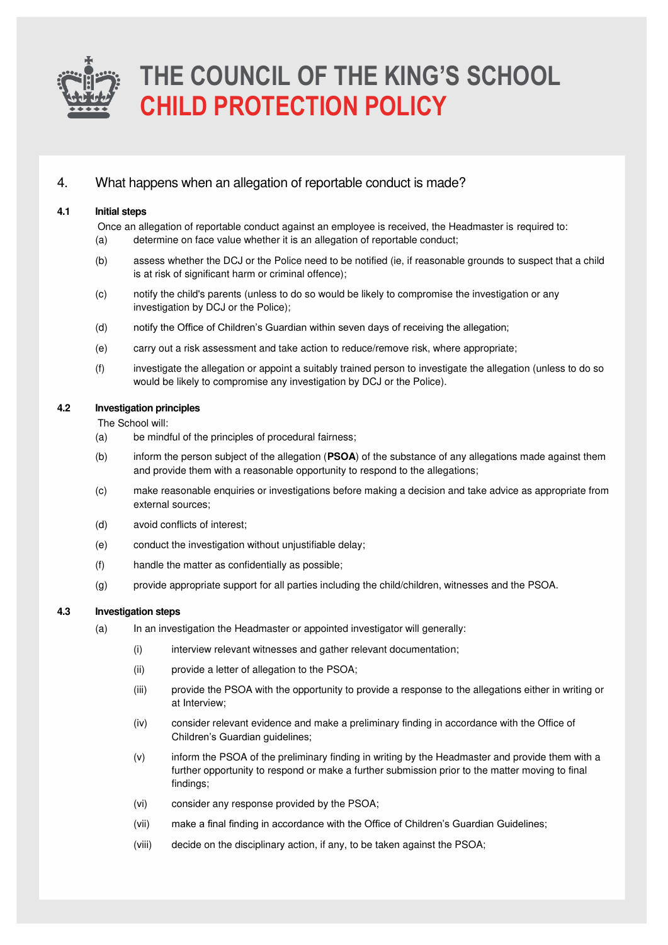

### 4. What happens when an allegation of reportable conduct is made?

#### **4.1 Initial steps**

Once an allegation of reportable conduct against an employee is received, the Headmaster is required to:

- (a) determine on face value whether it is an allegation of reportable conduct;
- (b) assess whether the DCJ or the Police need to be notified (ie, if reasonable grounds to suspect that a child is at risk of significant harm or criminal offence);
- (c) notify the child's parents (unless to do so would be likely to compromise the investigation or any investigation by DCJ or the Police);
- (d) notify the Office of Children's Guardian within seven days of receiving the allegation;
- (e) carry out a risk assessment and take action to reduce/remove risk, where appropriate;
- (f) investigate the allegation or appoint a suitably trained person to investigate the allegation (unless to do so would be likely to compromise any investigation by DCJ or the Police).

#### **4.2 Investigation principles**

The School will:

- (a) be mindful of the principles of procedural fairness;
- (b) inform the person subject of the allegation (**PSOA**) of the substance of any allegations made against them and provide them with a reasonable opportunity to respond to the allegations;
- (c) make reasonable enquiries or investigations before making a decision and take advice as appropriate from external sources;
- (d) avoid conflicts of interest;
- (e) conduct the investigation without unjustifiable delay;
- (f) handle the matter as confidentially as possible;
- (g) provide appropriate support for all parties including the child/children, witnesses and the PSOA.

#### **4.3 Investigation steps**

- (a) In an investigation the Headmaster or appointed investigator will generally:
	- (i) interview relevant witnesses and gather relevant documentation;
	- (ii) provide a letter of allegation to the PSOA;
	- (iii) provide the PSOA with the opportunity to provide a response to the allegations either in writing or at Interview;
	- (iv) consider relevant evidence and make a preliminary finding in accordance with the Office of Children's Guardian guidelines;
	- (v) inform the PSOA of the preliminary finding in writing by the Headmaster and provide them with a further opportunity to respond or make a further submission prior to the matter moving to final findings;
	- (vi) consider any response provided by the PSOA;
	- (vii) make a final finding in accordance with the Office of Children's Guardian Guidelines;
	- (viii) decide on the disciplinary action, if any, to be taken against the PSOA;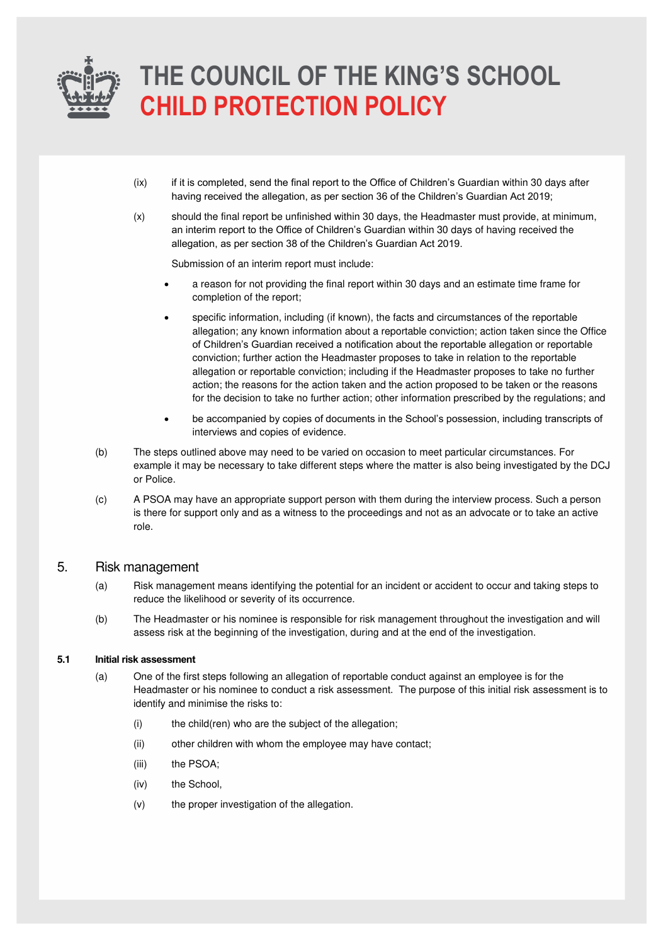

- (ix) if it is completed, send the final report to the Office of Children's Guardian within 30 days after having received the allegation, as per section 36 of the Children's Guardian Act 2019;
- (x) should the final report be unfinished within 30 days, the Headmaster must provide, at minimum, an interim report to the Office of Children's Guardian within 30 days of having received the allegation, as per section 38 of the Children's Guardian Act 2019.

Submission of an interim report must include:

- a reason for not providing the final report within 30 days and an estimate time frame for completion of the report;
- specific information, including (if known), the facts and circumstances of the reportable allegation; any known information about a reportable conviction; action taken since the Office of Children's Guardian received a notification about the reportable allegation or reportable conviction; further action the Headmaster proposes to take in relation to the reportable allegation or reportable conviction; including if the Headmaster proposes to take no further action; the reasons for the action taken and the action proposed to be taken or the reasons for the decision to take no further action; other information prescribed by the regulations; and
- be accompanied by copies of documents in the School's possession, including transcripts of interviews and copies of evidence.
- (b) The steps outlined above may need to be varied on occasion to meet particular circumstances. For example it may be necessary to take different steps where the matter is also being investigated by the DCJ or Police.
- (c) A PSOA may have an appropriate support person with them during the interview process. Such a person is there for support only and as a witness to the proceedings and not as an advocate or to take an active role.

### 5. Risk management

- (a) Risk management means identifying the potential for an incident or accident to occur and taking steps to reduce the likelihood or severity of its occurrence.
- (b) The Headmaster or his nominee is responsible for risk management throughout the investigation and will assess risk at the beginning of the investigation, during and at the end of the investigation.

#### **5.1 Initial risk assessment**

- (a) One of the first steps following an allegation of reportable conduct against an employee is for the Headmaster or his nominee to conduct a risk assessment. The purpose of this initial risk assessment is to identify and minimise the risks to:
	- (i) the child(ren) who are the subject of the allegation;
	- (ii) other children with whom the employee may have contact;
	- (iii) the PSOA;
	- (iv) the School,
	- (v) the proper investigation of the allegation.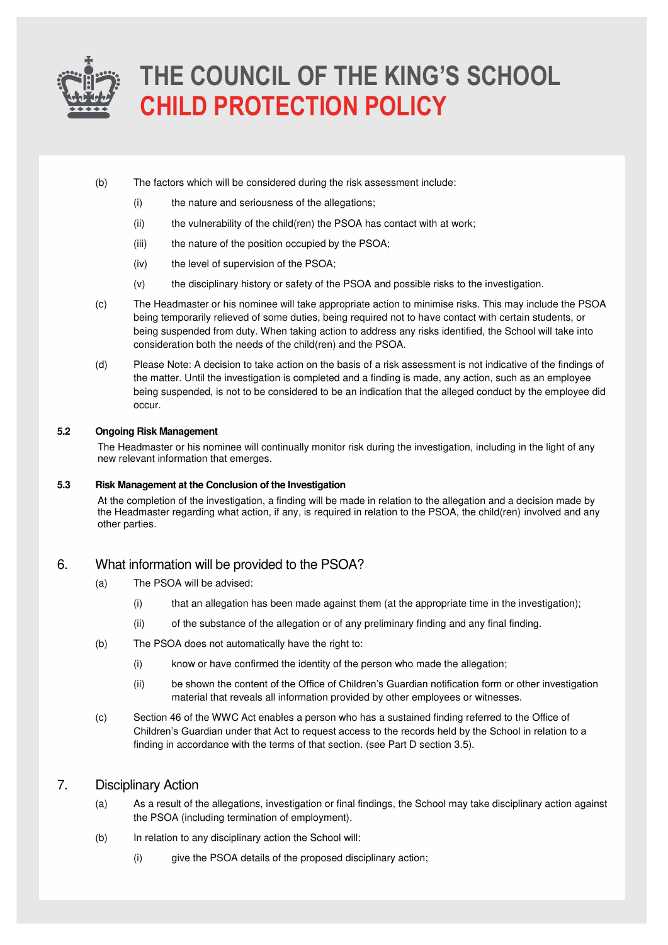

- (b) The factors which will be considered during the risk assessment include:
	- (i) the nature and seriousness of the allegations;
	- (ii) the vulnerability of the child(ren) the PSOA has contact with at work;
	- (iii) the nature of the position occupied by the PSOA;
	- (iv) the level of supervision of the PSOA;
	- (v) the disciplinary history or safety of the PSOA and possible risks to the investigation.
- (c) The Headmaster or his nominee will take appropriate action to minimise risks. This may include the PSOA being temporarily relieved of some duties, being required not to have contact with certain students, or being suspended from duty. When taking action to address any risks identified, the School will take into consideration both the needs of the child(ren) and the PSOA.
- (d) Please Note: A decision to take action on the basis of a risk assessment is not indicative of the findings of the matter. Until the investigation is completed and a finding is made, any action, such as an employee being suspended, is not to be considered to be an indication that the alleged conduct by the employee did occur.

#### **5.2 Ongoing Risk Management**

The Headmaster or his nominee will continually monitor risk during the investigation, including in the light of any new relevant information that emerges.

#### **5.3 Risk Management at the Conclusion of the Investigation**

At the completion of the investigation, a finding will be made in relation to the allegation and a decision made by the Headmaster regarding what action, if any, is required in relation to the PSOA, the child(ren) involved and any other parties.

### 6. What information will be provided to the PSOA?

- (a) The PSOA will be advised:
	- (i) that an allegation has been made against them (at the appropriate time in the investigation);
	- (ii) of the substance of the allegation or of any preliminary finding and any final finding.
- (b) The PSOA does not automatically have the right to:
	- (i) know or have confirmed the identity of the person who made the allegation;
	- (ii) be shown the content of the Office of Children's Guardian notification form or other investigation material that reveals all information provided by other employees or witnesses.
- (c) Section 46 of the WWC Act enables a person who has a sustained finding referred to the Office of Children's Guardian under that Act to request access to the records held by the School in relation to a finding in accordance with the terms of that section. (see Part D section 3.5).

### 7. Disciplinary Action

- (a) As a result of the allegations, investigation or final findings, the School may take disciplinary action against the PSOA (including termination of employment).
- (b) In relation to any disciplinary action the School will:
	- (i) give the PSOA details of the proposed disciplinary action;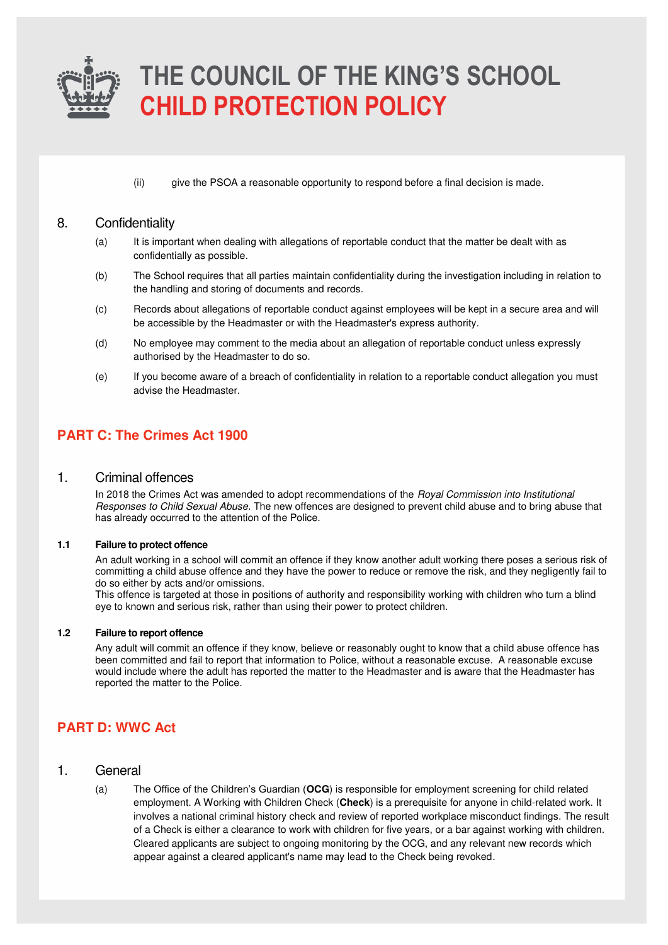

(ii) give the PSOA a reasonable opportunity to respond before a final decision is made.

### 8. Confidentiality

- (a) It is important when dealing with allegations of reportable conduct that the matter be dealt with as confidentially as possible.
- (b) The School requires that all parties maintain confidentiality during the investigation including in relation to the handling and storing of documents and records.
- (c) Records about allegations of reportable conduct against employees will be kept in a secure area and will be accessible by the Headmaster or with the Headmaster's express authority.
- (d) No employee may comment to the media about an allegation of reportable conduct unless expressly authorised by the Headmaster to do so.
- (e) If you become aware of a breach of confidentiality in relation to a reportable conduct allegation you must advise the Headmaster.

### **PART C: The Crimes Act 1900**

### 1. Criminal offences

In 2018 the Crimes Act was amended to adopt recommendations of the Royal Commission into Institutional Responses to Child Sexual Abuse. The new offences are designed to prevent child abuse and to bring abuse that has already occurred to the attention of the Police.

#### **1.1 Failure to protect offence**

An adult working in a school will commit an offence if they know another adult working there poses a serious risk of committing a child abuse offence and they have the power to reduce or remove the risk, and they negligently fail to do so either by acts and/or omissions.

This offence is targeted at those in positions of authority and responsibility working with children who turn a blind eye to known and serious risk, rather than using their power to protect children.

#### **1.2 Failure to report offence**

Any adult will commit an offence if they know, believe or reasonably ought to know that a child abuse offence has been committed and fail to report that information to Police, without a reasonable excuse. A reasonable excuse would include where the adult has reported the matter to the Headmaster and is aware that the Headmaster has reported the matter to the Police.

### **PART D: WWC Act**

- 1. General
	- (a) The Office of the Children's Guardian (**OCG**) is responsible for employment screening for child related employment. A Working with Children Check (**Check**) is a prerequisite for anyone in child-related work. It involves a national criminal history check and review of reported workplace misconduct findings. The result of a Check is either a clearance to work with children for five years, or a bar against working with children. Cleared applicants are subject to ongoing monitoring by the OCG, and any relevant new records which appear against a cleared applicant's name may lead to the Check being revoked.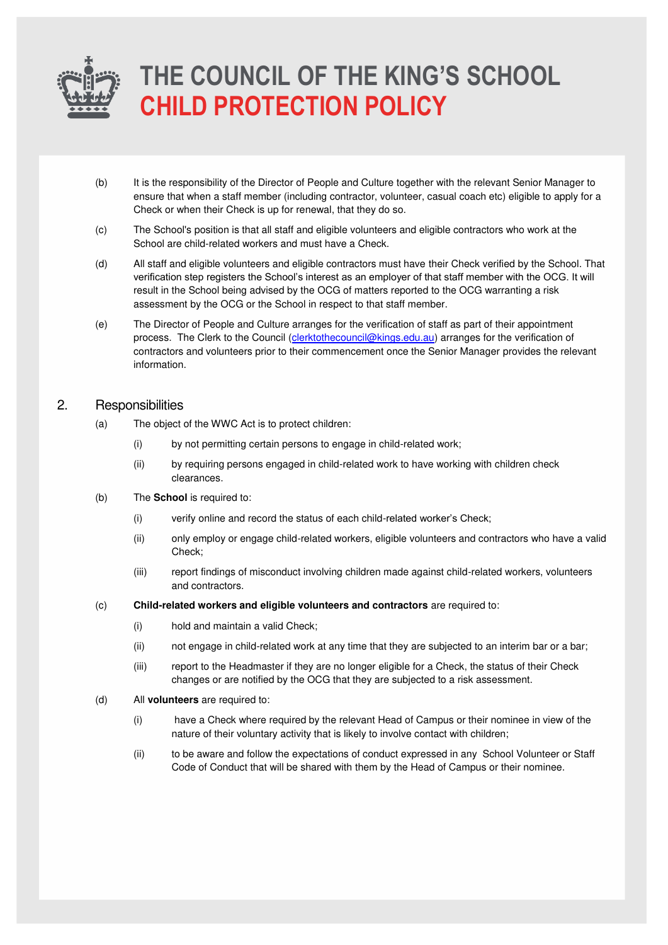

- (b) It is the responsibility of the Director of People and Culture together with the relevant Senior Manager to ensure that when a staff member (including contractor, volunteer, casual coach etc) eligible to apply for a Check or when their Check is up for renewal, that they do so.
- (c) The School's position is that all staff and eligible volunteers and eligible contractors who work at the School are child-related workers and must have a Check.
- (d) All staff and eligible volunteers and eligible contractors must have their Check verified by the School. That verification step registers the School's interest as an employer of that staff member with the OCG. It will result in the School being advised by the OCG of matters reported to the OCG warranting a risk assessment by the OCG or the School in respect to that staff member.
- (e) The Director of People and Culture arranges for the verification of staff as part of their appointment process. The Clerk to the Council [\(clerktothecouncil@kings.edu.au\)](mailto:clerktothecouncil@kings.edu.au) arranges for the verification of contractors and volunteers prior to their commencement once the Senior Manager provides the relevant information.

### 2. Responsibilities

- (a) The object of the WWC Act is to protect children:
	- (i) by not permitting certain persons to engage in child-related work;
	- (ii) by requiring persons engaged in child-related work to have working with children check clearances.
- (b) The **School** is required to:
	- (i) verify online and record the status of each child-related worker's Check;
	- (ii) only employ or engage child-related workers, eligible volunteers and contractors who have a valid Check;
	- (iii) report findings of misconduct involving children made against child-related workers, volunteers and contractors.
- (c) **Child-related workers and eligible volunteers and contractors** are required to:
	- (i) hold and maintain a valid Check;
	- (ii) not engage in child-related work at any time that they are subjected to an interim bar or a bar;
	- (iii) report to the Headmaster if they are no longer eligible for a Check, the status of their Check changes or are notified by the OCG that they are subjected to a risk assessment.
- (d) All **volunteers** are required to:
	- (i) have a Check where required by the relevant Head of Campus or their nominee in view of the nature of their voluntary activity that is likely to involve contact with children;
	- (ii) to be aware and follow the expectations of conduct expressed in any School Volunteer or Staff Code of Conduct that will be shared with them by the Head of Campus or their nominee.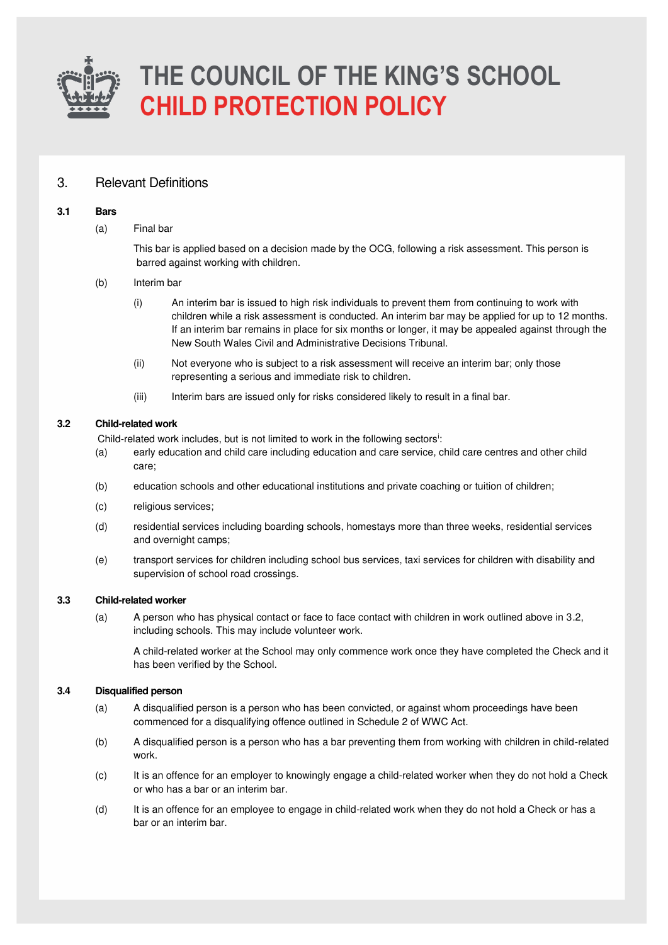

### 3. Relevant Definitions

#### **3.1 Bars**

(a) Final bar

This bar is applied based on a decision made by the OCG, following a risk assessment. This person is barred against working with children.

- (b) Interim bar
	- (i) An interim bar is issued to high risk individuals to prevent them from continuing to work with children while a risk assessment is conducted. An interim bar may be applied for up to 12 months. If an interim bar remains in place for six months or longer, it may be appealed against through the New South Wales Civil and Administrative Decisions Tribunal.
	- (ii) Not everyone who is subject to a risk assessment will receive an interim bar; only those representing a serious and immediate risk to children.
	- (iii) Interim bars are issued only for risks considered likely to result in a final bar.

#### **3.2 Child-related work**

Child-related work includes, but is not limited to work in the following sectors<sup>i</sup>:

- (a) early education and child care including education and care service, child care centres and other child care;
- (b) education schools and other educational institutions and private coaching or tuition of children;
- (c) religious services;
- (d) residential services including boarding schools, homestays more than three weeks, residential services and overnight camps;
- (e) transport services for children including school bus services, taxi services for children with disability and supervision of school road crossings.

#### **3.3 Child-related worker**

(a) A person who has physical contact or face to face contact with children in work outlined above in 3.2, including schools. This may include volunteer work.

A child-related worker at the School may only commence work once they have completed the Check and it has been verified by the School.

#### **3.4 Disqualified person**

- (a) A disqualified person is a person who has been convicted, or against whom proceedings have been commenced for a disqualifying offence outlined in Schedule 2 of WWC Act.
- (b) A disqualified person is a person who has a bar preventing them from working with children in child-related work.
- (c) It is an offence for an employer to knowingly engage a child-related worker when they do not hold a Check or who has a bar or an interim bar.
- (d) It is an offence for an employee to engage in child-related work when they do not hold a Check or has a bar or an interim bar.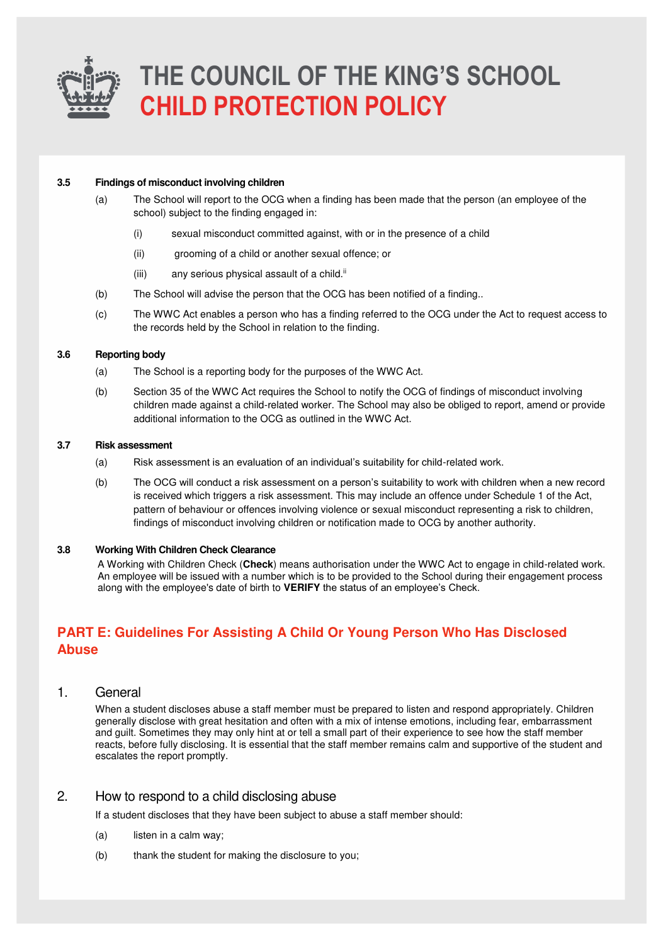

#### **3.5 Findings of misconduct involving children**

- (a) The School will report to the OCG when a finding has been made that the person (an employee of the school) subject to the finding engaged in:
	- (i) sexual misconduct committed against, with or in the presence of a child
	- (ii) grooming of a child or another sexual offence; or
	- $(iii)$  any serious physical assault of a child. $ii$
- (b) The School will advise the person that the OCG has been notified of a finding..
- (c) The WWC Act enables a person who has a finding referred to the OCG under the Act to request access to the records held by the School in relation to the finding.

#### **3.6 Reporting body**

- (a) The School is a reporting body for the purposes of the WWC Act.
- (b) Section 35 of the WWC Act requires the School to notify the OCG of findings of misconduct involving children made against a child-related worker. The School may also be obliged to report, amend or provide additional information to the OCG as outlined in the WWC Act.

#### **3.7 Risk assessment**

- (a) Risk assessment is an evaluation of an individual's suitability for child-related work.
- (b) The OCG will conduct a risk assessment on a person's suitability to work with children when a new record is received which triggers a risk assessment. This may include an offence under Schedule 1 of the Act, pattern of behaviour or offences involving violence or sexual misconduct representing a risk to children, findings of misconduct involving children or notification made to OCG by another authority.

#### **3.8 Working With Children Check Clearance**

A Working with Children Check (**Check**) means authorisation under the WWC Act to engage in child-related work. An employee will be issued with a number which is to be provided to the School during their engagement process along with the employee's date of birth to **VERIFY** the status of an employee's Check.

### **PART E: Guidelines For Assisting A Child Or Young Person Who Has Disclosed Abuse**

### 1. General

When a student discloses abuse a staff member must be prepared to listen and respond appropriately. Children generally disclose with great hesitation and often with a mix of intense emotions, including fear, embarrassment and guilt. Sometimes they may only hint at or tell a small part of their experience to see how the staff member reacts, before fully disclosing. It is essential that the staff member remains calm and supportive of the student and escalates the report promptly.

### 2. How to respond to a child disclosing abuse

If a student discloses that they have been subject to abuse a staff member should:

- (a) listen in a calm way;
- (b) thank the student for making the disclosure to you;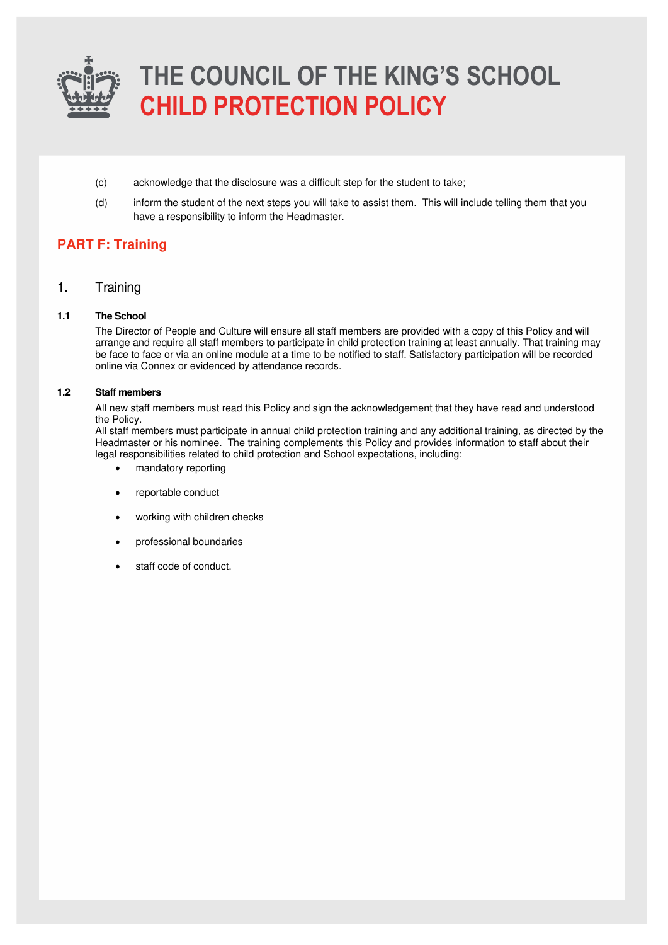

- (c) acknowledge that the disclosure was a difficult step for the student to take;
- (d) inform the student of the next steps you will take to assist them. This will include telling them that you have a responsibility to inform the Headmaster.

## **PART F: Training**

1. Training

#### **1.1 The School**

The Director of People and Culture will ensure all staff members are provided with a copy of this Policy and will arrange and require all staff members to participate in child protection training at least annually. That training may be face to face or via an online module at a time to be notified to staff. Satisfactory participation will be recorded online via Connex or evidenced by attendance records.

#### **1.2 Staff members**

All new staff members must read this Policy and sign the acknowledgement that they have read and understood the Policy.

All staff members must participate in annual child protection training and any additional training, as directed by the Headmaster or his nominee. The training complements this Policy and provides information to staff about their legal responsibilities related to child protection and School expectations, including:

- mandatory reporting
- reportable conduct
- working with children checks
- professional boundaries
- staff code of conduct.